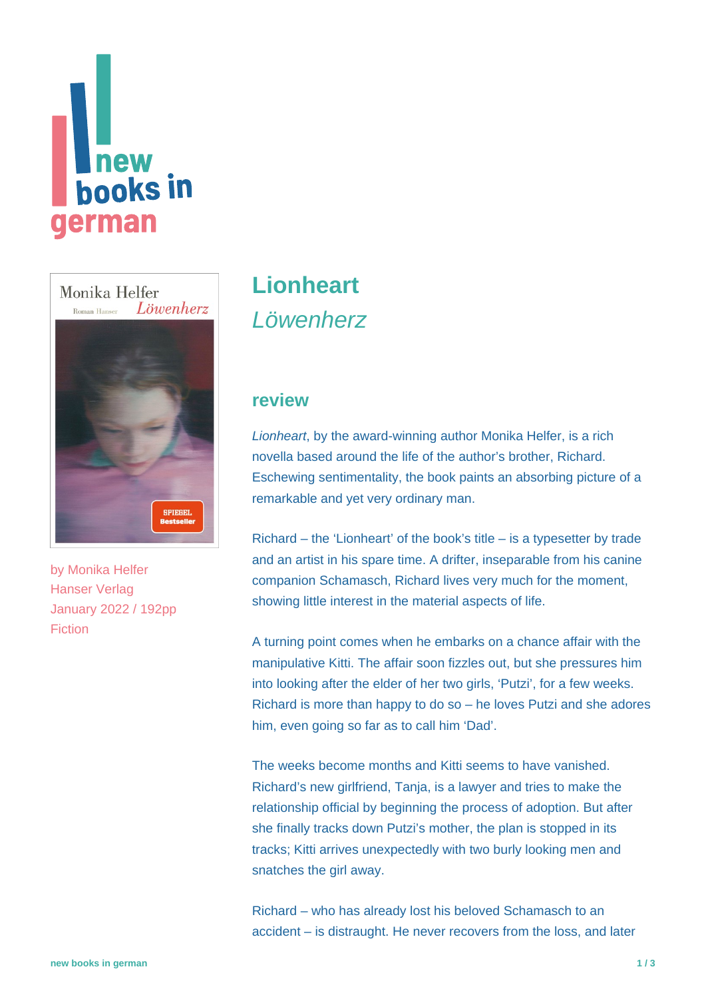



by [Monika Helfer](https://www.new-books-in-german.com/recommendations/?searchInput=Monika%20Helfer) Hanser Verlag January 2022 / 192pp Fiction

# **[Lionheart](https://www.new-books-in-german.com/recommendations/lionheart/)** Löwenherz

#### **review**

Lionheart, by the award-winning author Monika Helfer, is a rich novella based around the life of the author's brother, Richard. Eschewing sentimentality, the book paints an absorbing picture of a remarkable and yet very ordinary man.

Richard – the 'Lionheart' of the book's title – is a typesetter by trade and an artist in his spare time. A drifter, inseparable from his canine companion Schamasch, Richard lives very much for the moment, showing little interest in the material aspects of life.

A turning point comes when he embarks on a chance affair with the manipulative Kitti. The affair soon fizzles out, but she pressures him into looking after the elder of her two girls, 'Putzi', for a few weeks. Richard is more than happy to do so – he loves Putzi and she adores him, even going so far as to call him 'Dad'.

The weeks become months and Kitti seems to have vanished. Richard's new girlfriend, Tanja, is a lawyer and tries to make the relationship official by beginning the process of adoption. But after she finally tracks down Putzi's mother, the plan is stopped in its tracks; Kitti arrives unexpectedly with two burly looking men and snatches the girl away.

Richard – who has already lost his beloved Schamasch to an accident – is distraught. He never recovers from the loss, and later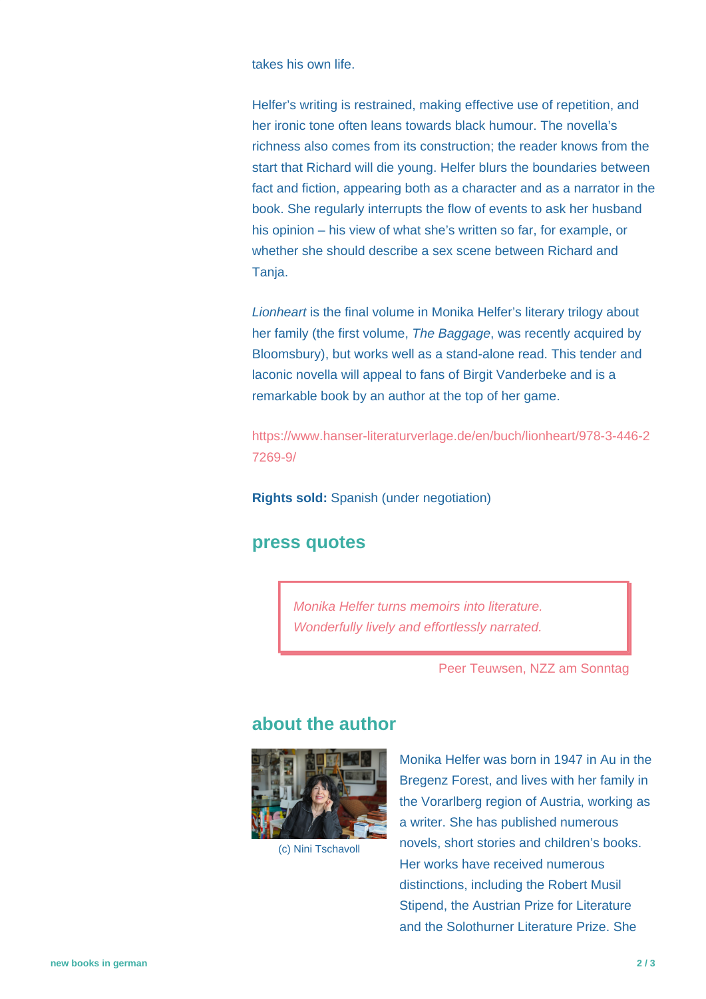takes his own life.

Helfer's writing is restrained, making effective use of repetition, and her ironic tone often leans towards black humour. The novella's richness also comes from its construction; the reader knows from the start that Richard will die young. Helfer blurs the boundaries between fact and fiction, appearing both as a character and as a narrator in the book. She regularly interrupts the flow of events to ask her husband his opinion – his view of what she's written so far, for example, or whether she should describe a sex scene between Richard and Tanja.

Lionheart is the final volume in Monika Helfer's literary trilogy about her family (the first volume, The Baggage, was recently acquired by Bloomsbury), but works well as a stand-alone read. This tender and laconic novella will appeal to fans of Birgit Vanderbeke and is a remarkable book by an author at the top of her game.

[https://www.hanser-literaturverlage.de/en/buch/lionheart/978-3-446-2](https://www.hanser-literaturverlage.de/en/buch/lionheart/978-3-446-27269-9/) [7269-9/](https://www.hanser-literaturverlage.de/en/buch/lionheart/978-3-446-27269-9/)

**Rights sold:** Spanish (under negotiation)

#### **press quotes**

Monika Helfer turns memoirs into literature. Wonderfully lively and effortlessly narrated.

Peer Teuwsen, NZZ am Sonntag

### **about the author**



(c) Nini Tschavoll

Monika Helfer was born in 1947 in Au in the Bregenz Forest, and lives with her family in the Vorarlberg region of Austria, working as a writer. She has published numerous novels, short stories and children's books. Her works have received numerous distinctions, including the Robert Musil Stipend, the Austrian Prize for Literature and the Solothurner Literature Prize. She